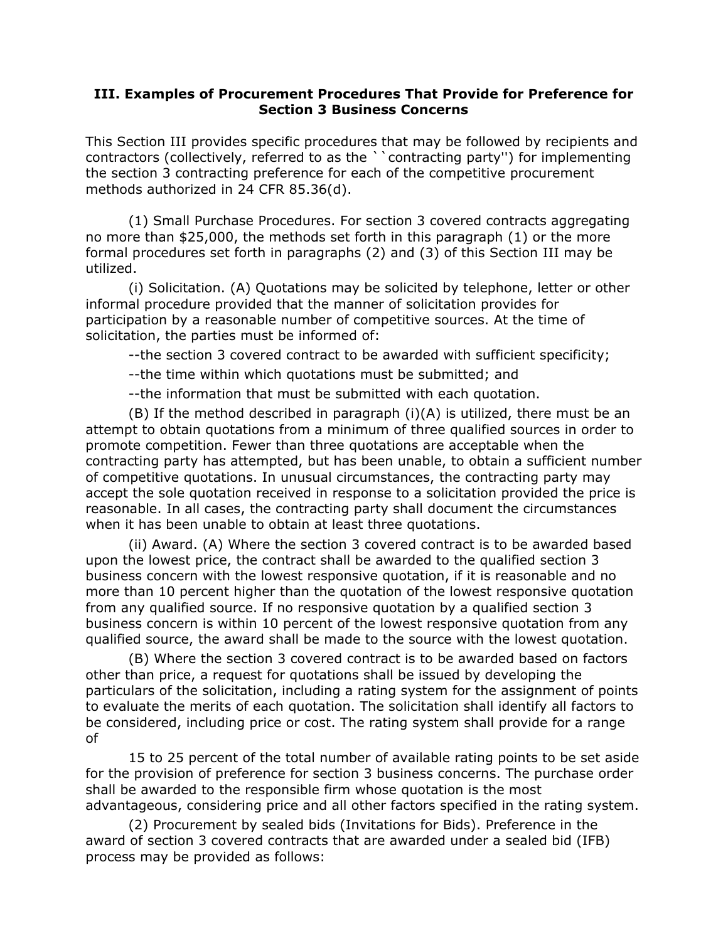## **III. Examples of Procurement Procedures That Provide for Preference for Section 3 Business Concerns**

This Section III provides specific procedures that may be followed by recipients and contractors (collectively, referred to as the ``contracting party'') for implementing the section 3 contracting preference for each of the competitive procurement methods authorized in 24 CFR 85.36(d).

(1) Small Purchase Procedures. For section 3 covered contracts aggregating no more than \$25,000, the methods set forth in this paragraph (1) or the more formal procedures set forth in paragraphs (2) and (3) of this Section III may be utilized.

(i) Solicitation. (A) Quotations may be solicited by telephone, letter or other informal procedure provided that the manner of solicitation provides for participation by a reasonable number of competitive sources. At the time of solicitation, the parties must be informed of:

--the section 3 covered contract to be awarded with sufficient specificity;

--the time within which quotations must be submitted; and

--the information that must be submitted with each quotation.

 $(B)$  If the method described in paragraph  $(i)(A)$  is utilized, there must be an attempt to obtain quotations from a minimum of three qualified sources in order to promote competition. Fewer than three quotations are acceptable when the contracting party has attempted, but has been unable, to obtain a sufficient number of competitive quotations. In unusual circumstances, the contracting party may accept the sole quotation received in response to a solicitation provided the price is reasonable. In all cases, the contracting party shall document the circumstances when it has been unable to obtain at least three quotations.

(ii) Award. (A) Where the section 3 covered contract is to be awarded based upon the lowest price, the contract shall be awarded to the qualified section 3 business concern with the lowest responsive quotation, if it is reasonable and no more than 10 percent higher than the quotation of the lowest responsive quotation from any qualified source. If no responsive quotation by a qualified section 3 business concern is within 10 percent of the lowest responsive quotation from any qualified source, the award shall be made to the source with the lowest quotation.

(B) Where the section 3 covered contract is to be awarded based on factors other than price, a request for quotations shall be issued by developing the particulars of the solicitation, including a rating system for the assignment of points to evaluate the merits of each quotation. The solicitation shall identify all factors to be considered, including price or cost. The rating system shall provide for a range of

15 to 25 percent of the total number of available rating points to be set aside for the provision of preference for section 3 business concerns. The purchase order shall be awarded to the responsible firm whose quotation is the most advantageous, considering price and all other factors specified in the rating system.

(2) Procurement by sealed bids (Invitations for Bids). Preference in the award of section 3 covered contracts that are awarded under a sealed bid (IFB) process may be provided as follows: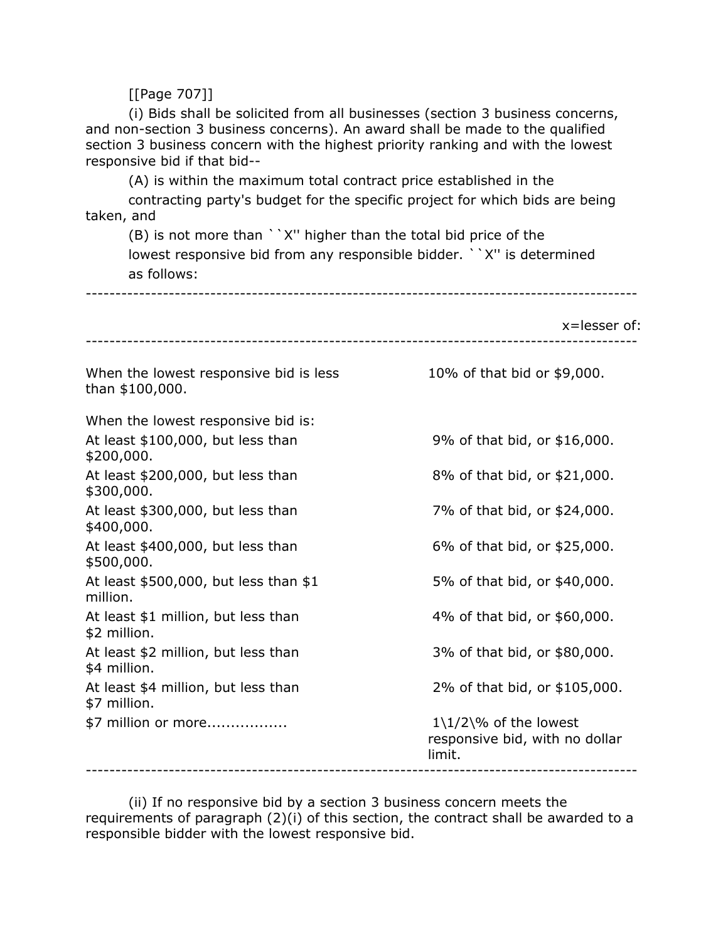[[Page 707]]

(i) Bids shall be solicited from all businesses (section 3 business concerns, and non-section 3 business concerns). An award shall be made to the qualified section 3 business concern with the highest priority ranking and with the lowest responsive bid if that bid--

(A) is within the maximum total contract price established in the

contracting party's budget for the specific project for which bids are being taken, and

(B) is not more than ``X'' higher than the total bid price of the lowest responsive bid from any responsible bidder. ``X'' is determined as follows:

---------------------------------------------------------------------------------------------

x=lesser of: --------------------------------------------------------------------------------------------- When the lowest responsive bid is less  $10\%$  of that bid or \$9,000. than \$100,000. When the lowest responsive bid is: At least \$100,000, but less than 9% of that bid, or \$16,000. \$200,000. At least  $$200,000$ , but less than  $8\%$  of that bid, or  $$21,000$ . \$300,000. At least \$300,000, but less than 7% of that bid, or \$24,000. \$400,000. At least  $$400,000$ , but less than 6% of that bid, or  $$25,000$ . \$500,000. At least \$500,000, but less than \$1 5% of that bid, or \$40,000. million. At least \$1 million, but less than 4% of that bid, or \$60,000. \$2 million. At least \$2 million, but less than 3% of that bid, or \$80,000. \$4 million. At least \$4 million, but less than 2% of that bid, or \$105,000. \$7 million. \$7 million or more................. 1\1/2\% of the lowest responsive bid, with no dollar limit. ---------------------------------------------------------------------------------------------

(ii) If no responsive bid by a section 3 business concern meets the requirements of paragraph (2)(i) of this section, the contract shall be awarded to a responsible bidder with the lowest responsive bid.